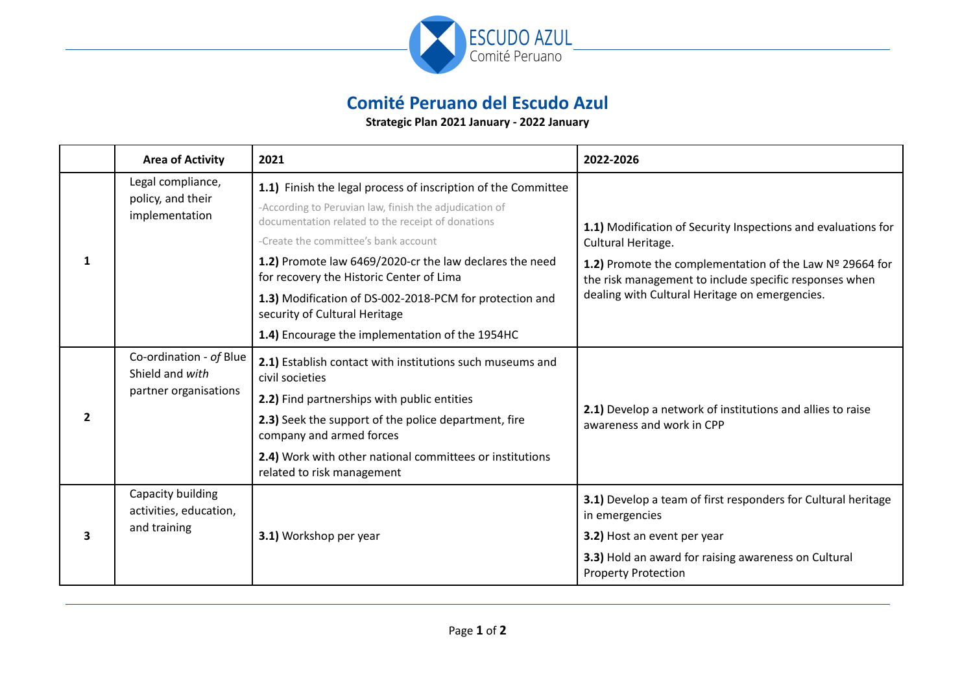

## **Comité Peruano del Escudo Azul**

**Strategic Plan 2021 January - 2022 January**

|                | <b>Area of Activity</b>                                             | 2021                                                                                                        | 2022-2026                                                                                                                                                                                                 |
|----------------|---------------------------------------------------------------------|-------------------------------------------------------------------------------------------------------------|-----------------------------------------------------------------------------------------------------------------------------------------------------------------------------------------------------------|
| 1              | Legal compliance,<br>policy, and their<br>implementation            | 1.1) Finish the legal process of inscription of the Committee                                               |                                                                                                                                                                                                           |
|                |                                                                     | -According to Peruvian law, finish the adjudication of<br>documentation related to the receipt of donations | 1.1) Modification of Security Inspections and evaluations for<br>Cultural Heritage.<br>1.2) Promote the complementation of the Law Nº 29664 for<br>the risk management to include specific responses when |
|                |                                                                     | -Create the committee's bank account                                                                        |                                                                                                                                                                                                           |
|                |                                                                     | 1.2) Promote law 6469/2020-cr the law declares the need<br>for recovery the Historic Center of Lima         |                                                                                                                                                                                                           |
|                |                                                                     | 1.3) Modification of DS-002-2018-PCM for protection and<br>security of Cultural Heritage                    | dealing with Cultural Heritage on emergencies.                                                                                                                                                            |
|                |                                                                     | 1.4) Encourage the implementation of the 1954HC                                                             |                                                                                                                                                                                                           |
| $\overline{2}$ | Co-ordination - of Blue<br>Shield and with<br>partner organisations | 2.1) Establish contact with institutions such museums and<br>civil societies                                |                                                                                                                                                                                                           |
|                |                                                                     | 2.2) Find partnerships with public entities                                                                 |                                                                                                                                                                                                           |
|                |                                                                     | 2.3) Seek the support of the police department, fire<br>company and armed forces                            | 2.1) Develop a network of institutions and allies to raise<br>awareness and work in CPP                                                                                                                   |
|                |                                                                     | 2.4) Work with other national committees or institutions<br>related to risk management                      |                                                                                                                                                                                                           |
| 3              | Capacity building<br>activities, education,<br>and training         | 3.1) Workshop per year                                                                                      | 3.1) Develop a team of first responders for Cultural heritage<br>in emergencies                                                                                                                           |
|                |                                                                     |                                                                                                             | 3.2) Host an event per year                                                                                                                                                                               |
|                |                                                                     |                                                                                                             | 3.3) Hold an award for raising awareness on Cultural<br><b>Property Protection</b>                                                                                                                        |